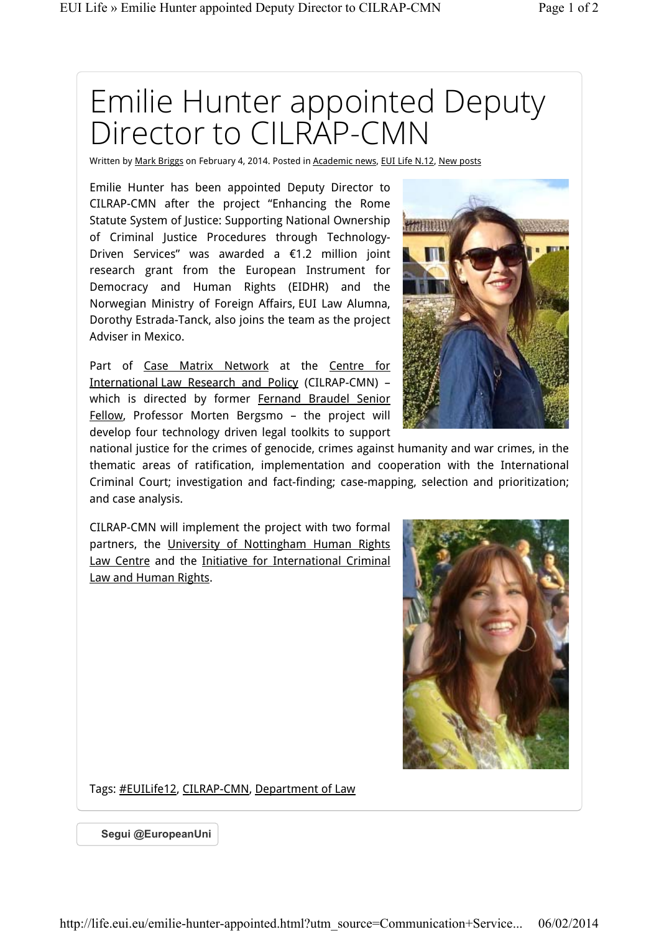## Emilie Hunter appointed Deputy Director to CILRAP-CMN

Written by Mark Briggs on February 4, 2014. Posted in Academic news, EUI Life N.12, New posts

Emilie Hunter has been appointed Deputy Director to CILRAP-CMN after the project "Enhancing the Rome Statute System of Justice: Supporting National Ownership of Criminal Justice Procedures through Technology-Driven Services" was awarded a €1.2 million joint research grant from the European Instrument for Democracy and Human Rights (EIDHR) and the Norwegian Ministry of Foreign Affairs, EUI Law Alumna, Dorothy Estrada-Tanck, also joins the team as the project Adviser in Mexico.

Part of Case Matrix Network at the Centre for International Law Research and Policy (CILRAP-CMN) – which is directed by former Fernand Braudel Senior Fellow, Professor Morten Bergsmo – the project will develop four technology driven legal toolkits to support



national justice for the crimes of genocide, crimes against humanity and war crimes, in the thematic areas of ratification, implementation and cooperation with the International Criminal Court; investigation and fact-finding; case-mapping, selection and prioritization; and case analysis.

CILRAP-CMN will implement the project with two formal partners, the University of Nottingham Human Rights Law Centre and the Initiative for International Criminal Law and Human Rights.



Tags: #EUILife12, CILRAP-CMN, Department of Law

**Segui @EuropeanUni**